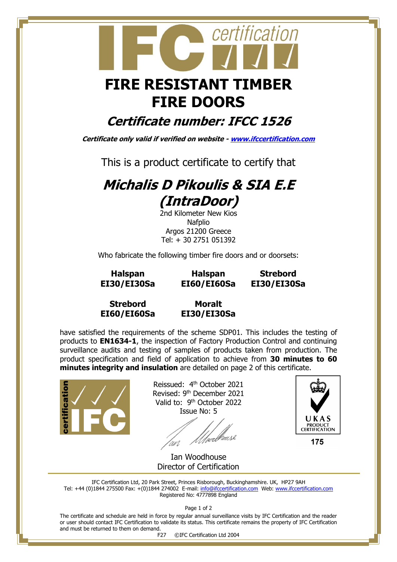## certification  **FIRE RESISTANT TIMBER**

## **FIRE DOORS**

**Certificate number: IFCC 1526**

**Certificate only valid if verified on website - [www.ifccertification.com](http://www.ifccertification.com/)**

This is a product certificate to certify that

## **Michalis D Pikoulis & SIA E.E (IntraDoor)**

2nd Kilometer New Kios **Nafplio** Argos 21200 Greece Tel: + 30 2751 051392

Who fabricate the following timber fire doors and or doorsets:

**Halspan EI30/EI30Sa**

**Halspan EI60/EI60Sa**

**Strebord EI30/EI30Sa** 

**Strebord EI60/EI60Sa**

**Moralt EI30/EI30Sa**

have satisfied the requirements of the scheme SDP01. This includes the testing of products to **EN1634-1**, the inspection of Factory Production Control and continuing surveillance audits and testing of samples of products taken from production. The product specification and field of application to achieve from **30 minutes to 60 minutes integrity and insulation** are detailed on page 2 of this certificate.



Reissued: 4<sup>th</sup> October 2021 Revised: 9th December 2021 Valid to: 9<sup>th</sup> October 2022 Issue No: 5

1<br>1 juni 1900.sl



 Ian Woodhouse Director of Certification

IFC Certification Ltd, 20 Park Street, Princes Risborough, Buckinghamshire. UK, HP27 9AH Tel: +44 (0)1844 275500 Fax: +(0)1844 274002 E-mail[: info@ifccertification.com](mailto:info@ifccertification.com) Web: [www.ifccertification.com](http://www.ifccertification.com/) Registered No: 4777898 England

Page 1 of 2

The certificate and schedule are held in force by regular annual surveillance visits by IFC Certification and the reader or user should contact IFC Certification to validate its status. This certificate remains the property of IFC Certification and must be returned to them on demand.